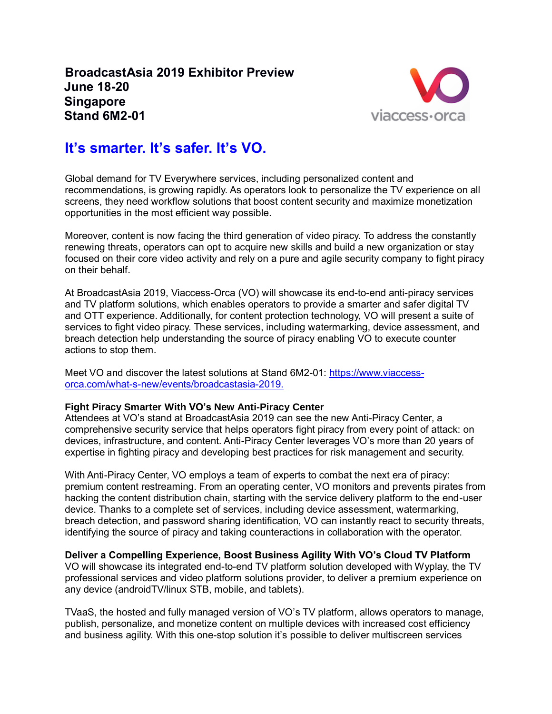**BroadcastAsia 2019 Exhibitor Preview June 18-20 Singapore Stand 6M2-01**



## **It's smarter. It's safer. It's VO.**

Global demand for TV Everywhere services, including personalized content and recommendations, is growing rapidly. As operators look to personalize the TV experience on all screens, they need workflow solutions that boost content security and maximize monetization opportunities in the most efficient way possible.

Moreover, content is now facing the third generation of video piracy. To address the constantly renewing threats, operators can opt to acquire new skills and build a new organization or stay focused on their core video activity and rely on a pure and agile security company to fight piracy on their behalf.

At BroadcastAsia 2019, Viaccess-Orca (VO) will showcase its end-to-end anti-piracy services and TV platform solutions, which enables operators to provide a smarter and safer digital TV and OTT experience. Additionally, for content protection technology, VO will present a suite of services to fight video piracy. These services, including watermarking, device assessment, and breach detection help understanding the source of piracy enabling VO to execute counter actions to stop them.

Meet VO and discover the latest solutions at Stand 6M2-01: [https://www.viaccess](https://www.viaccess-orca.com/what-s-new/events/broadcastasia-2019)[orca.com/what-s-new/events/broadcastasia-2019.](https://www.viaccess-orca.com/what-s-new/events/broadcastasia-2019)

## **Fight Piracy Smarter With VO's New Anti-Piracy Center**

Attendees at VO's stand at BroadcastAsia 2019 can see the new Anti-Piracy Center, a comprehensive security service that helps operators fight piracy from every point of attack: on devices, infrastructure, and content. Anti-Piracy Center leverages VO's more than 20 years of expertise in fighting piracy and developing best practices for risk management and security.

With Anti-Piracy Center, VO employs a team of experts to combat the next era of piracy: premium content restreaming. From an operating center, VO monitors and prevents pirates from hacking the content distribution chain, starting with the service delivery platform to the end-user device. Thanks to a complete set of services, including device assessment, watermarking, breach detection, and password sharing identification, VO can instantly react to security threats, identifying the source of piracy and taking counteractions in collaboration with the operator.

## **Deliver a Compelling Experience, Boost Business Agility With VO's Cloud TV Platform**

VO will showcase its integrated end-to-end TV platform solution developed with Wyplay, the TV professional services and video platform solutions provider, to deliver a premium experience on any device (androidTV/linux STB, mobile, and tablets).

TVaaS, the hosted and fully managed version of VO's TV platform, allows operators to manage, publish, personalize, and monetize content on multiple devices with increased cost efficiency and business agility. With this one-stop solution it's possible to deliver multiscreen services